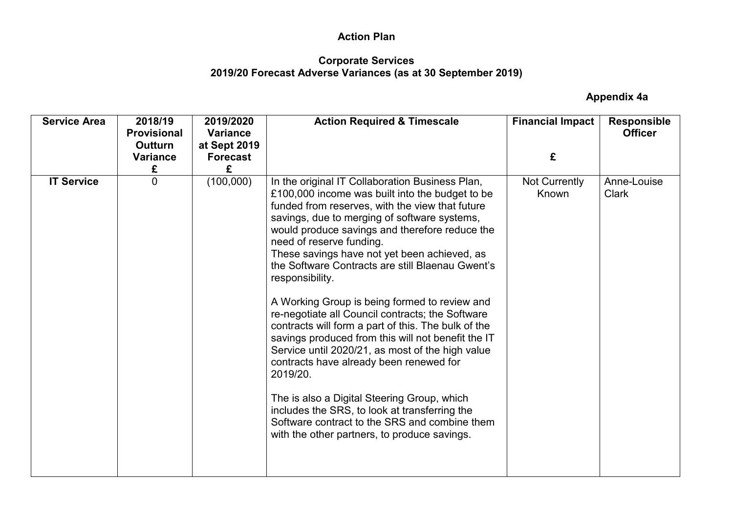#### **Corporate Services 2019/20 Forecast Adverse Variances (as at 30 September 2019)**

| <b>Service Area</b> | 2018/19<br><b>Provisional</b><br><b>Outturn</b><br><b>Variance</b><br>£ | 2019/2020<br><b>Variance</b><br>at Sept 2019<br><b>Forecast</b><br>£ | <b>Action Required &amp; Timescale</b>                                                                                                                                                                                                                                                                                                                                                                                                                                                                                                                                                                                                                                                                                                                                                                                                                                                                                                   | <b>Financial Impact</b><br>£ | <b>Responsible</b><br><b>Officer</b> |
|---------------------|-------------------------------------------------------------------------|----------------------------------------------------------------------|------------------------------------------------------------------------------------------------------------------------------------------------------------------------------------------------------------------------------------------------------------------------------------------------------------------------------------------------------------------------------------------------------------------------------------------------------------------------------------------------------------------------------------------------------------------------------------------------------------------------------------------------------------------------------------------------------------------------------------------------------------------------------------------------------------------------------------------------------------------------------------------------------------------------------------------|------------------------------|--------------------------------------|
| <b>IT Service</b>   | $\overline{0}$                                                          | (100,000)                                                            | In the original IT Collaboration Business Plan,<br>£100,000 income was built into the budget to be<br>funded from reserves, with the view that future<br>savings, due to merging of software systems,<br>would produce savings and therefore reduce the<br>need of reserve funding.<br>These savings have not yet been achieved, as<br>the Software Contracts are still Blaenau Gwent's<br>responsibility.<br>A Working Group is being formed to review and<br>re-negotiate all Council contracts; the Software<br>contracts will form a part of this. The bulk of the<br>savings produced from this will not benefit the IT<br>Service until 2020/21, as most of the high value<br>contracts have already been renewed for<br>2019/20.<br>The is also a Digital Steering Group, which<br>includes the SRS, to look at transferring the<br>Software contract to the SRS and combine them<br>with the other partners, to produce savings. | Not Currently<br>Known       | Anne-Louise<br><b>Clark</b>          |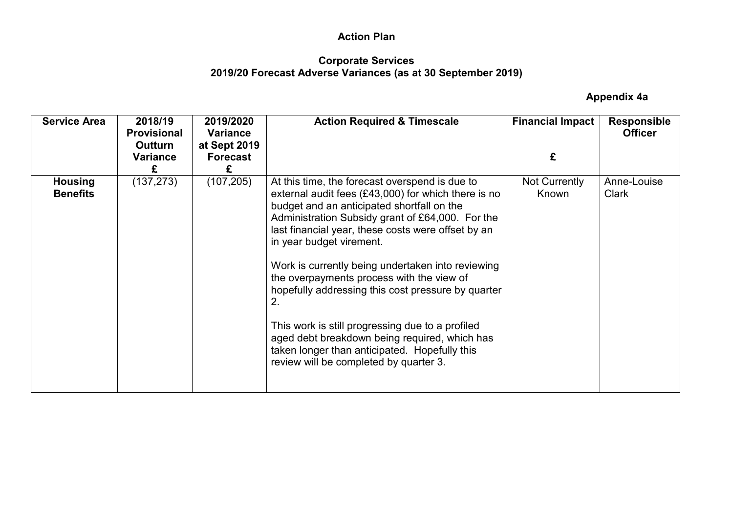#### **Corporate Services 2019/20 Forecast Adverse Variances (as at 30 September 2019)**

| <b>Service Area</b>               | 2018/19<br><b>Provisional</b><br>Outturn | 2019/2020<br><b>Variance</b><br>at Sept 2019 | <b>Action Required &amp; Timescale</b>                                                                                                                                                                                                                                                                                                                                                                                                                                                                                                                                                                                                                    | <b>Financial Impact</b> | <b>Responsible</b><br><b>Officer</b> |
|-----------------------------------|------------------------------------------|----------------------------------------------|-----------------------------------------------------------------------------------------------------------------------------------------------------------------------------------------------------------------------------------------------------------------------------------------------------------------------------------------------------------------------------------------------------------------------------------------------------------------------------------------------------------------------------------------------------------------------------------------------------------------------------------------------------------|-------------------------|--------------------------------------|
|                                   | <b>Variance</b><br>£                     | <b>Forecast</b>                              |                                                                                                                                                                                                                                                                                                                                                                                                                                                                                                                                                                                                                                                           | £                       |                                      |
| <b>Housing</b><br><b>Benefits</b> | (137, 273)                               | (107, 205)                                   | At this time, the forecast overspend is due to<br>external audit fees $(E43,000)$ for which there is no<br>budget and an anticipated shortfall on the<br>Administration Subsidy grant of £64,000. For the<br>last financial year, these costs were offset by an<br>in year budget virement.<br>Work is currently being undertaken into reviewing<br>the overpayments process with the view of<br>hopefully addressing this cost pressure by quarter<br>2.<br>This work is still progressing due to a profiled<br>aged debt breakdown being required, which has<br>taken longer than anticipated. Hopefully this<br>review will be completed by quarter 3. | Not Currently<br>Known  | Anne-Louise<br><b>Clark</b>          |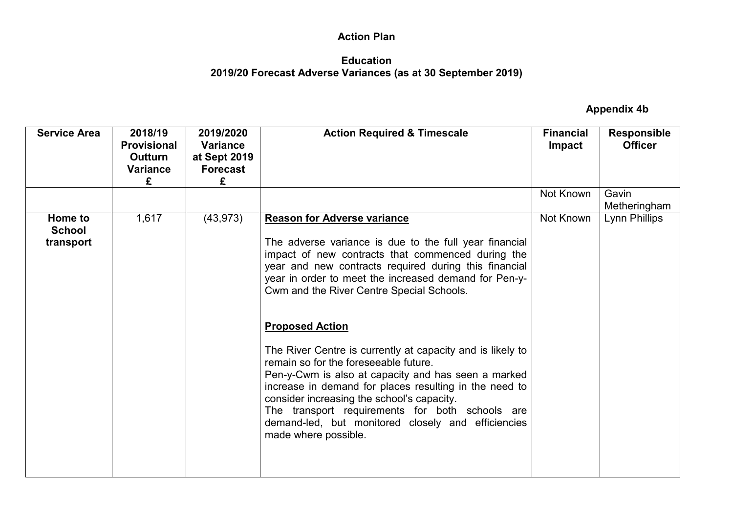## **Education 2019/20 Forecast Adverse Variances (as at 30 September 2019)**

| <b>Service Area</b>                   | 2018/19<br><b>Provisional</b><br><b>Outturn</b><br><b>Variance</b><br>£ | 2019/2020<br><b>Variance</b><br>at Sept 2019<br><b>Forecast</b><br>£ | <b>Action Required &amp; Timescale</b>                                                                                                                                                                                                                                                                                                                                                                                                                                                                                                                                                                                                                                                                                                            | <b>Financial</b><br><b>Impact</b> | <b>Responsible</b><br><b>Officer</b> |
|---------------------------------------|-------------------------------------------------------------------------|----------------------------------------------------------------------|---------------------------------------------------------------------------------------------------------------------------------------------------------------------------------------------------------------------------------------------------------------------------------------------------------------------------------------------------------------------------------------------------------------------------------------------------------------------------------------------------------------------------------------------------------------------------------------------------------------------------------------------------------------------------------------------------------------------------------------------------|-----------------------------------|--------------------------------------|
|                                       |                                                                         |                                                                      |                                                                                                                                                                                                                                                                                                                                                                                                                                                                                                                                                                                                                                                                                                                                                   | Not Known                         | Gavin<br>Metheringham                |
| Home to<br><b>School</b><br>transport | 1,617                                                                   | (43, 973)                                                            | <b>Reason for Adverse variance</b><br>The adverse variance is due to the full year financial<br>impact of new contracts that commenced during the<br>year and new contracts required during this financial<br>year in order to meet the increased demand for Pen-y-<br>Cwm and the River Centre Special Schools.<br><b>Proposed Action</b><br>The River Centre is currently at capacity and is likely to<br>remain so for the foreseeable future.<br>Pen-y-Cwm is also at capacity and has seen a marked<br>increase in demand for places resulting in the need to<br>consider increasing the school's capacity.<br>The transport requirements for both schools are<br>demand-led, but monitored closely and efficiencies<br>made where possible. | Not Known                         | Lynn Phillips                        |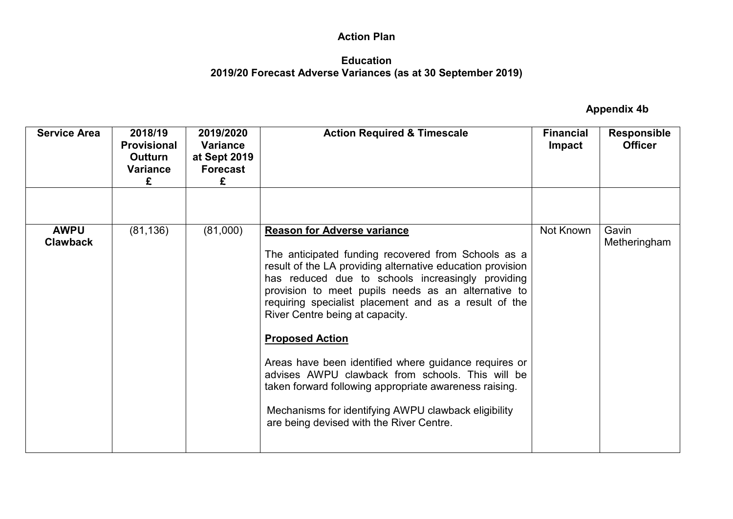### **Education 2019/20 Forecast Adverse Variances (as at 30 September 2019)**

| <b>Service Area</b>            | 2018/19<br><b>Provisional</b><br>Outturn<br><b>Variance</b><br>£ | 2019/2020<br><b>Variance</b><br>at Sept 2019<br><b>Forecast</b><br>£ | <b>Action Required &amp; Timescale</b>                                                                                                                                                                                                                                                                                                                                                                                                                                                                                                                                                                                                                               | <b>Financial</b><br><b>Impact</b> | <b>Responsible</b><br><b>Officer</b> |
|--------------------------------|------------------------------------------------------------------|----------------------------------------------------------------------|----------------------------------------------------------------------------------------------------------------------------------------------------------------------------------------------------------------------------------------------------------------------------------------------------------------------------------------------------------------------------------------------------------------------------------------------------------------------------------------------------------------------------------------------------------------------------------------------------------------------------------------------------------------------|-----------------------------------|--------------------------------------|
|                                |                                                                  |                                                                      |                                                                                                                                                                                                                                                                                                                                                                                                                                                                                                                                                                                                                                                                      |                                   |                                      |
| <b>AWPU</b><br><b>Clawback</b> | (81, 136)                                                        | (81,000)                                                             | <b>Reason for Adverse variance</b><br>The anticipated funding recovered from Schools as a<br>result of the LA providing alternative education provision<br>has reduced due to schools increasingly providing<br>provision to meet pupils needs as an alternative to<br>requiring specialist placement and as a result of the<br>River Centre being at capacity.<br><b>Proposed Action</b><br>Areas have been identified where guidance requires or<br>advises AWPU clawback from schools. This will be<br>taken forward following appropriate awareness raising.<br>Mechanisms for identifying AWPU clawback eligibility<br>are being devised with the River Centre. | Not Known                         | Gavin<br>Metheringham                |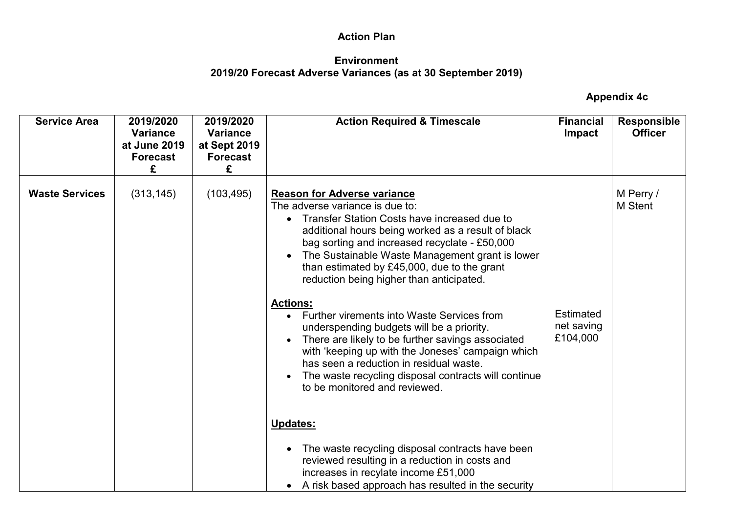### **Environment 2019/20 Forecast Adverse Variances (as at 30 September 2019)**

| <b>Service Area</b>   | 2019/2020<br><b>Variance</b><br>at June 2019<br><b>Forecast</b><br>£ | 2019/2020<br><b>Variance</b><br>at Sept 2019<br><b>Forecast</b><br>£ | <b>Action Required &amp; Timescale</b>                                                                                                                                                                                                                                                                                                                                                                                                                                                                                                                                                                                                                                                                                                                                                                 | <b>Financial</b><br><b>Impact</b>   | <b>Responsible</b><br><b>Officer</b> |
|-----------------------|----------------------------------------------------------------------|----------------------------------------------------------------------|--------------------------------------------------------------------------------------------------------------------------------------------------------------------------------------------------------------------------------------------------------------------------------------------------------------------------------------------------------------------------------------------------------------------------------------------------------------------------------------------------------------------------------------------------------------------------------------------------------------------------------------------------------------------------------------------------------------------------------------------------------------------------------------------------------|-------------------------------------|--------------------------------------|
| <b>Waste Services</b> | (313, 145)                                                           | (103, 495)                                                           | <b>Reason for Adverse variance</b><br>The adverse variance is due to:<br>Transfer Station Costs have increased due to<br>additional hours being worked as a result of black<br>bag sorting and increased recyclate - £50,000<br>The Sustainable Waste Management grant is lower<br>than estimated by £45,000, due to the grant<br>reduction being higher than anticipated.<br><b>Actions:</b><br>Further virements into Waste Services from<br>underspending budgets will be a priority.<br>There are likely to be further savings associated<br>with 'keeping up with the Joneses' campaign which<br>has seen a reduction in residual waste.<br>The waste recycling disposal contracts will continue<br>to be monitored and reviewed.<br>Updates:<br>The waste recycling disposal contracts have been | Estimated<br>net saving<br>£104,000 | M Perry /<br>M Stent                 |
|                       |                                                                      |                                                                      | reviewed resulting in a reduction in costs and<br>increases in recylate income £51,000<br>A risk based approach has resulted in the security                                                                                                                                                                                                                                                                                                                                                                                                                                                                                                                                                                                                                                                           |                                     |                                      |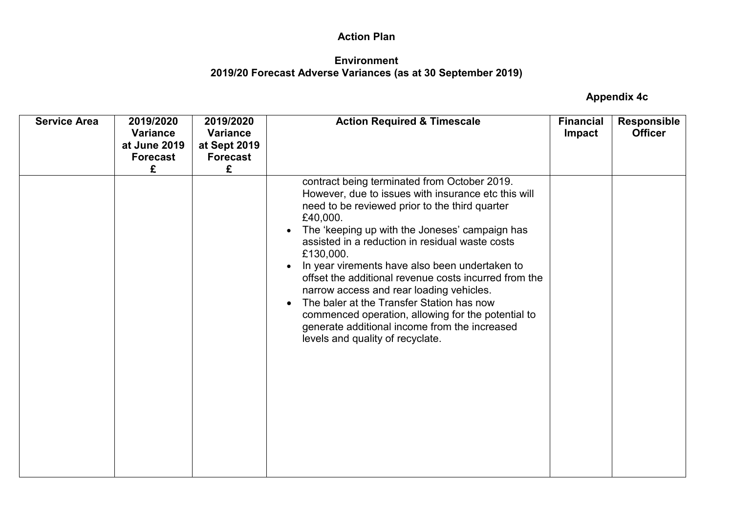### **Environment 2019/20 Forecast Adverse Variances (as at 30 September 2019)**

| <b>Service Area</b> | 2019/2020<br><b>Variance</b><br>at June 2019<br><b>Forecast</b><br>£ | 2019/2020<br><b>Variance</b><br>at Sept 2019<br><b>Forecast</b><br>£ | <b>Action Required &amp; Timescale</b>                                                                                                                                                                                                                                                                                                                                                                                                                                                                                                                                                                                                          | <b>Financial</b><br>Impact | <b>Responsible</b><br><b>Officer</b> |
|---------------------|----------------------------------------------------------------------|----------------------------------------------------------------------|-------------------------------------------------------------------------------------------------------------------------------------------------------------------------------------------------------------------------------------------------------------------------------------------------------------------------------------------------------------------------------------------------------------------------------------------------------------------------------------------------------------------------------------------------------------------------------------------------------------------------------------------------|----------------------------|--------------------------------------|
|                     |                                                                      |                                                                      | contract being terminated from October 2019.<br>However, due to issues with insurance etc this will<br>need to be reviewed prior to the third quarter<br>£40,000.<br>The 'keeping up with the Joneses' campaign has<br>assisted in a reduction in residual waste costs<br>£130,000.<br>In year virements have also been undertaken to<br>offset the additional revenue costs incurred from the<br>narrow access and rear loading vehicles.<br>The baler at the Transfer Station has now<br>$\bullet$<br>commenced operation, allowing for the potential to<br>generate additional income from the increased<br>levels and quality of recyclate. |                            |                                      |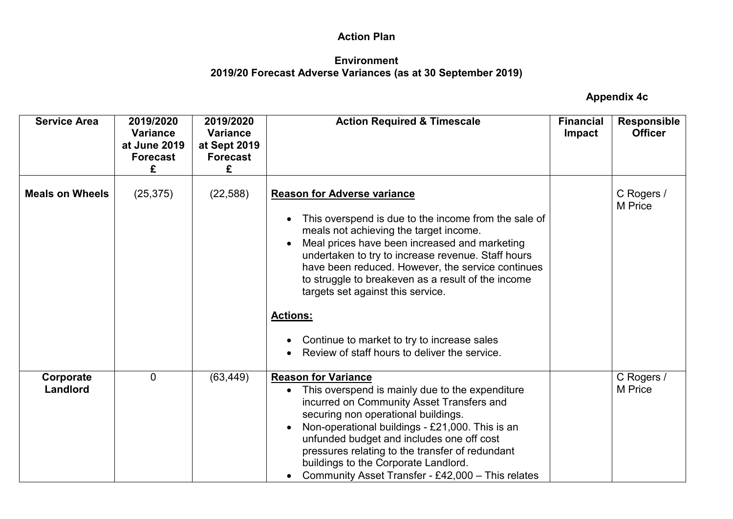### **Environment 2019/20 Forecast Adverse Variances (as at 30 September 2019)**

| <b>Service Area</b>    | 2019/2020<br><b>Variance</b><br>at June 2019<br><b>Forecast</b><br>£ | 2019/2020<br><b>Variance</b><br>at Sept 2019<br><b>Forecast</b><br>£ | <b>Action Required &amp; Timescale</b>                                                                                                                                                                                                                                                                                                                                                                                                                                                                         | <b>Financial</b><br><b>Impact</b> | <b>Responsible</b><br><b>Officer</b> |
|------------------------|----------------------------------------------------------------------|----------------------------------------------------------------------|----------------------------------------------------------------------------------------------------------------------------------------------------------------------------------------------------------------------------------------------------------------------------------------------------------------------------------------------------------------------------------------------------------------------------------------------------------------------------------------------------------------|-----------------------------------|--------------------------------------|
| <b>Meals on Wheels</b> | (25, 375)                                                            | (22, 588)                                                            | <b>Reason for Adverse variance</b><br>This overspend is due to the income from the sale of<br>meals not achieving the target income.<br>Meal prices have been increased and marketing<br>undertaken to try to increase revenue. Staff hours<br>have been reduced. However, the service continues<br>to struggle to breakeven as a result of the income<br>targets set against this service.<br><b>Actions:</b><br>Continue to market to try to increase sales<br>Review of staff hours to deliver the service. |                                   | C Rogers /<br>M Price                |
| Corporate<br>Landlord  | $\overline{0}$                                                       | (63, 449)                                                            | <b>Reason for Variance</b><br>This overspend is mainly due to the expenditure<br>incurred on Community Asset Transfers and<br>securing non operational buildings.<br>Non-operational buildings - £21,000. This is an<br>unfunded budget and includes one off cost<br>pressures relating to the transfer of redundant<br>buildings to the Corporate Landlord.<br>Community Asset Transfer - £42,000 - This relates                                                                                              |                                   | C Rogers /<br>M Price                |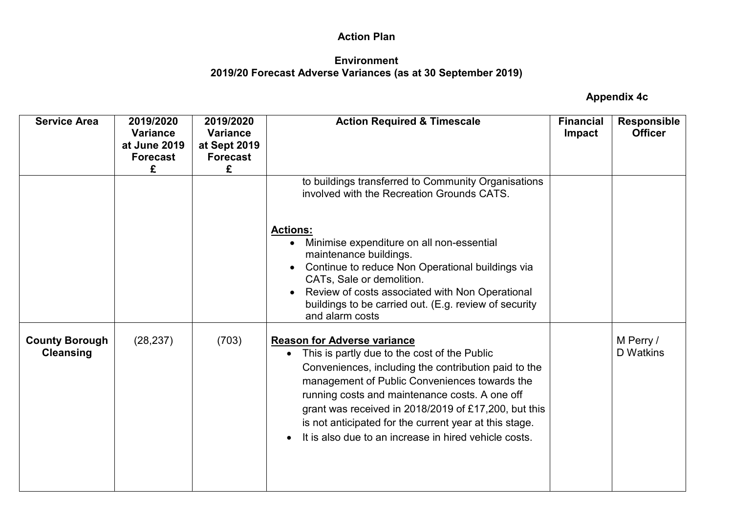## **Environment 2019/20 Forecast Adverse Variances (as at 30 September 2019)**

| <b>Service Area</b>                       | 2019/2020<br><b>Variance</b><br>at June 2019<br><b>Forecast</b><br>£ | 2019/2020<br><b>Variance</b><br>at Sept 2019<br><b>Forecast</b><br>£ | <b>Action Required &amp; Timescale</b>                                                                                                                                                                                                                                                                                                                                                                                                             | <b>Financial</b><br><b>Impact</b> | <b>Responsible</b><br><b>Officer</b> |
|-------------------------------------------|----------------------------------------------------------------------|----------------------------------------------------------------------|----------------------------------------------------------------------------------------------------------------------------------------------------------------------------------------------------------------------------------------------------------------------------------------------------------------------------------------------------------------------------------------------------------------------------------------------------|-----------------------------------|--------------------------------------|
|                                           |                                                                      |                                                                      | to buildings transferred to Community Organisations<br>involved with the Recreation Grounds CATS.                                                                                                                                                                                                                                                                                                                                                  |                                   |                                      |
|                                           |                                                                      |                                                                      | <b>Actions:</b><br>Minimise expenditure on all non-essential<br>maintenance buildings.<br>Continue to reduce Non Operational buildings via<br>CATs, Sale or demolition.<br>Review of costs associated with Non Operational<br>buildings to be carried out. (E.g. review of security<br>and alarm costs                                                                                                                                             |                                   |                                      |
| <b>County Borough</b><br><b>Cleansing</b> | (28, 237)                                                            | (703)                                                                | <b>Reason for Adverse variance</b><br>This is partly due to the cost of the Public<br>$\bullet$<br>Conveniences, including the contribution paid to the<br>management of Public Conveniences towards the<br>running costs and maintenance costs. A one off<br>grant was received in 2018/2019 of £17,200, but this<br>is not anticipated for the current year at this stage.<br>It is also due to an increase in hired vehicle costs.<br>$\bullet$ |                                   | M Perry /<br><b>D</b> Watkins        |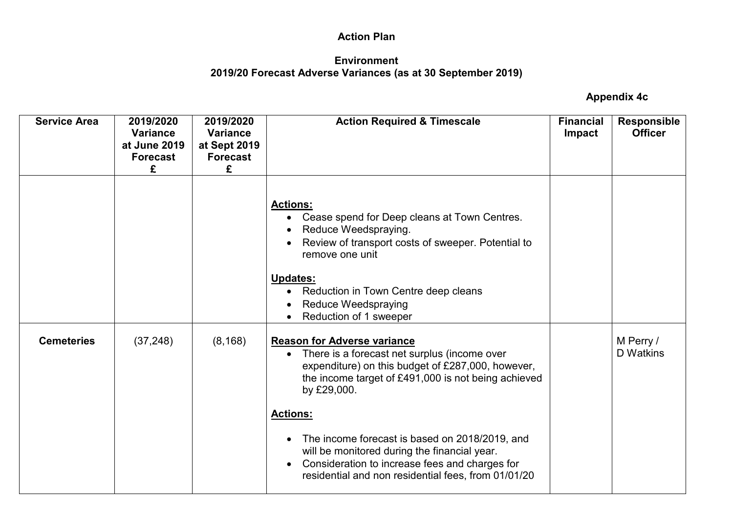### **Environment 2019/20 Forecast Adverse Variances (as at 30 September 2019)**

| <b>Service Area</b> | 2019/2020<br><b>Variance</b><br>at June 2019<br><b>Forecast</b><br>£ | 2019/2020<br><b>Variance</b><br>at Sept 2019<br><b>Forecast</b><br>£ | <b>Action Required &amp; Timescale</b>                                                                                                                                                                                                                                                                                                                                                                                                                     | <b>Financial</b><br><b>Impact</b> | <b>Responsible</b><br><b>Officer</b> |
|---------------------|----------------------------------------------------------------------|----------------------------------------------------------------------|------------------------------------------------------------------------------------------------------------------------------------------------------------------------------------------------------------------------------------------------------------------------------------------------------------------------------------------------------------------------------------------------------------------------------------------------------------|-----------------------------------|--------------------------------------|
|                     |                                                                      |                                                                      | <b>Actions:</b><br>• Cease spend for Deep cleans at Town Centres.<br>Reduce Weedspraying.<br>Review of transport costs of sweeper. Potential to<br>remove one unit<br><b>Updates:</b><br>• Reduction in Town Centre deep cleans<br><b>Reduce Weedspraying</b><br>Reduction of 1 sweeper                                                                                                                                                                    |                                   |                                      |
| <b>Cemeteries</b>   | (37, 248)                                                            | (8, 168)                                                             | <b>Reason for Adverse variance</b><br>• There is a forecast net surplus (income over<br>expenditure) on this budget of £287,000, however,<br>the income target of £491,000 is not being achieved<br>by £29,000.<br><b>Actions:</b><br>The income forecast is based on 2018/2019, and<br>$\bullet$<br>will be monitored during the financial year.<br>Consideration to increase fees and charges for<br>residential and non residential fees, from 01/01/20 |                                   | M Perry /<br>D Watkins               |